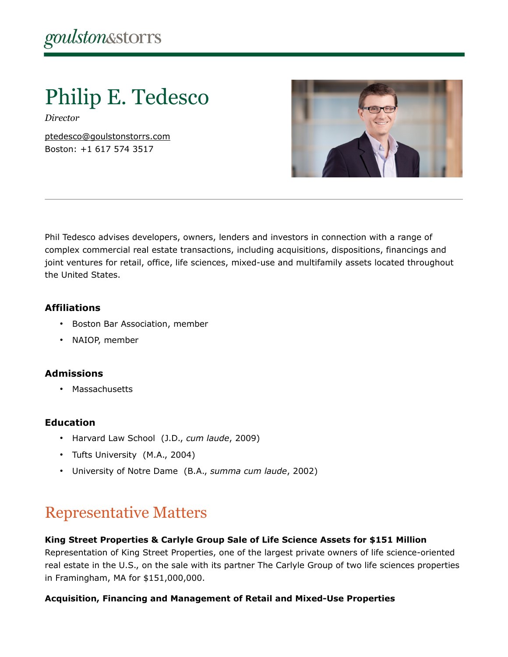# Philip E. Tedesco

*Director*

[ptedesco@goulstonstorrs.com](mailto:ptedesco@goulstonstorrs.com) Boston: +1 617 574 3517



Phil Tedesco advises developers, owners, lenders and investors in connection with a range of complex commercial real estate transactions, including acquisitions, dispositions, financings and joint ventures for retail, office, life sciences, mixed-use and multifamily assets located throughout the United States.

# **Affiliations**

- Boston Bar Association, member
- NAIOP, member

# **Admissions**

• Massachusetts

# **Education**

- Harvard Law School (J.D., *cum laude*, 2009)
- Tufts University (M.A., 2004)
- University of Notre Dame (B.A., *summa cum laude*, 2002)

# Representative Matters

# **King Street Properties & Carlyle Group Sale of Life Science Assets for \$151 Million**

Representation of King Street Properties, one of the largest private owners of life science-oriented real estate in the U.S., on the sale with its partner The Carlyle Group of two life sciences properties in Framingham, MA for \$151,000,000.

# **Acquisition, Financing and Management of Retail and Mixed-Use Properties**